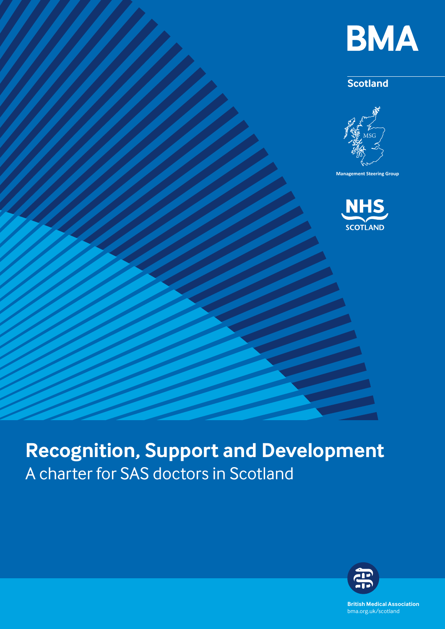

# **Scotland**



**Management Steering Group**



# **Recognition, Support and Development**  A charter for SAS doctors in Scotland



**British Medical Association** bma.org.uk bma.org.uk/scotland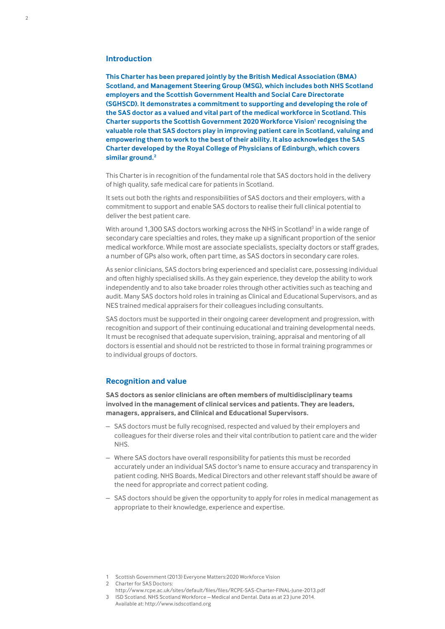## **Introduction**

**This Charter has been prepared jointly by the British Medical Association (BMA) Scotland, and Management Steering Group (MSG), which includes both NHS Scotland employers and the Scottish Government Health and Social Care Directorate (SGHSCD). It demonstrates a commitment to supporting and developing the role of the SAS doctor as a valued and vital part of the medical workforce in Scotland. This Charter supports the Scottish Government 2020 Workforce Vision<sup>1</sup> recognising the valuable role that SAS doctors play in improving patient care in Scotland, valuing and empowering them to work to the best of their ability. It also acknowledges the SAS Charter developed by the Royal College of Physicians of Edinburgh, which covers similar ground.2**

This Charter is in recognition of the fundamental role that SAS doctors hold in the delivery of high quality, safe medical care for patients in Scotland.

It sets out both the rights and responsibilities of SAS doctors and their employers, with a commitment to support and enable SAS doctors to realise their full clinical potential to deliver the best patient care.

With around 1,300 SAS doctors working across the NHS in Scotland<sup>3</sup> in a wide range of secondary care specialties and roles, they make up a significant proportion of the senior medical workforce. While most are associate specialists, specialty doctors or staff grades, a number of GPs also work, often part time, as SAS doctors in secondary care roles.

As senior clinicians, SAS doctors bring experienced and specialist care, possessing individual and often highly specialised skills. As they gain experience, they develop the ability to work independently and to also take broader roles through other activities such as teaching and audit. Many SAS doctors hold roles in training as Clinical and Educational Supervisors, and as NES trained medical appraisers for their colleagues including consultants.

SAS doctors must be supported in their ongoing career development and progression, with recognition and support of their continuing educational and training developmental needs. It must be recognised that adequate supervision, training, appraisal and mentoring of all doctors is essential and should not be restricted to those in formal training programmes or to individual groups of doctors.

#### **Recognition and value**

**SAS doctors as senior clinicians are often members of multidisciplinary teams involved in the management of clinical services and patients. They are leaders, managers, appraisers, and Clinical and Educational Supervisors.**

- SAS doctors must be fully recognised, respected and valued by their employers and colleagues for their diverse roles and their vital contribution to patient care and the wider NHS.
- Where SAS doctors have overall responsibility for patients this must be recorded accurately under an individual SAS doctor's name to ensure accuracy and transparency in patient coding. NHS Boards, Medical Directors and other relevant staff should be aware of the need for appropriate and correct patient coding.
- SAS doctors should be given the opportunity to apply for roles in medical management as appropriate to their knowledge, experience and expertise.

- <http://www.rcpe.ac.uk/sites/default/files/files/RCPE-SAS-Charter-FINAL-June-2013.pdf> 3 ISD Scotland. NHS Scotland Workforce – Medical and Dental. Data as at 23 June 2014.
- Available at: <http://www.isdscotland.org>

<sup>1</sup> Scottish Government (2013) Everyone Matters:2020 Workforce Vision

<sup>2</sup> Charter for SAS Doctors: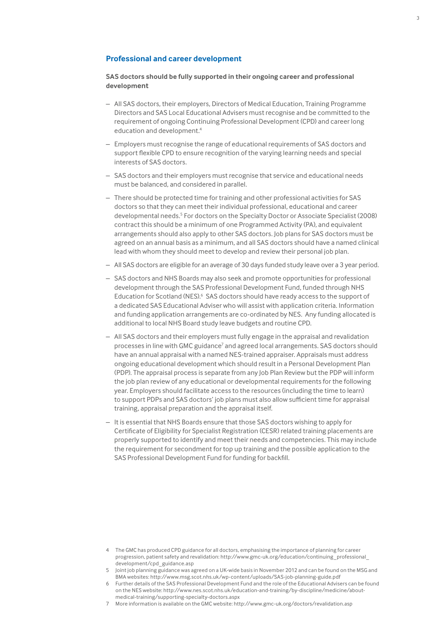# **Professional and career development**

## **SAS doctors should be fully supported in their ongoing career and professional development**

- All SAS doctors, their employers, Directors of Medical Education, Training Programme Directors and SAS Local Educational Advisers must recognise and be committed to the requirement of ongoing Continuing Professional Development (CPD) and career long education and development.<sup>4</sup>
- Employers must recognise the range of educational requirements of SAS doctors and support flexible CPD to ensure recognition of the varying learning needs and special interests of SAS doctors.
- SAS doctors and their employers must recognise that service and educational needs must be balanced, and considered in parallel.
- There should be protected time for training and other professional activities for SAS doctors so that they can meet their individual professional, educational and career developmental needs.<sup>5</sup> For doctors on the Specialty Doctor or Associate Specialist (2008) contract this should be a minimum of one Programmed Activity (PA), and equivalent arrangements should also apply to other SAS doctors. Job plans for SAS doctors must be agreed on an annual basis as a minimum, and all SAS doctors should have a named clinical lead with whom they should meet to develop and review their personal job plan.
- All SAS doctors are eligible for an average of 30 days funded study leave over a 3 year period.
- SAS doctors and NHS Boards may also seek and promote opportunities for professional development through the SAS Professional Development Fund, funded through NHS Education for Scotland (NES).<sup>6</sup> SAS doctors should have ready access to the support of a dedicated SAS Educational Adviser who will assist with application criteria. Information and funding application arrangements are co-ordinated by NES. Any funding allocated is additional to local NHS Board study leave budgets and routine CPD.
- All SAS doctors and their employers must fully engage in the appraisal and revalidation processes in line with GMC guidance<sup>7</sup> and agreed local arrangements. SAS doctors should have an annual appraisal with a named NES-trained appraiser. Appraisals must address ongoing educational development which should result in a Personal Development Plan (PDP). The appraisal process is separate from any Job Plan Review but the PDP will inform the job plan review of any educational or developmental requirements for the following year. Employers should facilitate access to the resources (including the time to learn) to support PDPs and SAS doctors' job plans must also allow sufficient time for appraisal training, appraisal preparation and the appraisal itself.
- It is essential that NHS Boards ensure that those SAS doctors wishing to apply for Certificate of Eligibility for Specialist Registration (CESR) related training placements are properly supported to identify and meet their needs and competencies. This may include the requirement for secondment for top up training and the possible application to the SAS Professional Development Fund for funding for backfill.

- 5 Joint job planning guidance was agreed on a UK-wide basis in November 2012 and can be found on the MSG and BMA websites: <http://www.msg.scot.nhs.uk/wp-content/uploads/SAS-job-planning-guide.pdf>
- 6 Further details of the SAS Professional Development Fund and the role of the Educational Advisers can be found on the NES website: [http://www.nes.scot.nhs.uk/education-and-training/by-discipline/medicine/about](http://www.nes.scot.nhs.uk/education-and-training/by-discipline/medicine/about-medical-training/supporting-specialty-doctors.aspx%20)[medical-training/supporting-specialty-doctors.aspx](http://www.nes.scot.nhs.uk/education-and-training/by-discipline/medicine/about-medical-training/supporting-specialty-doctors.aspx%20)
- 7 More information is available on the GMC website: <http://www.gmc-uk.org/doctors/revalidation.asp>

<sup>4</sup> The GMC has produced [CPD guidance](http://www.gmc-uk.org/education/continuing_professional_development/cpd_guidance.asp) for all doctors, emphasising the importance of planning for career progression, patient safety and revalidation: http://www.gmc-uk.org/education/continuing\_professional\_ development/cpd\_guidance.asp